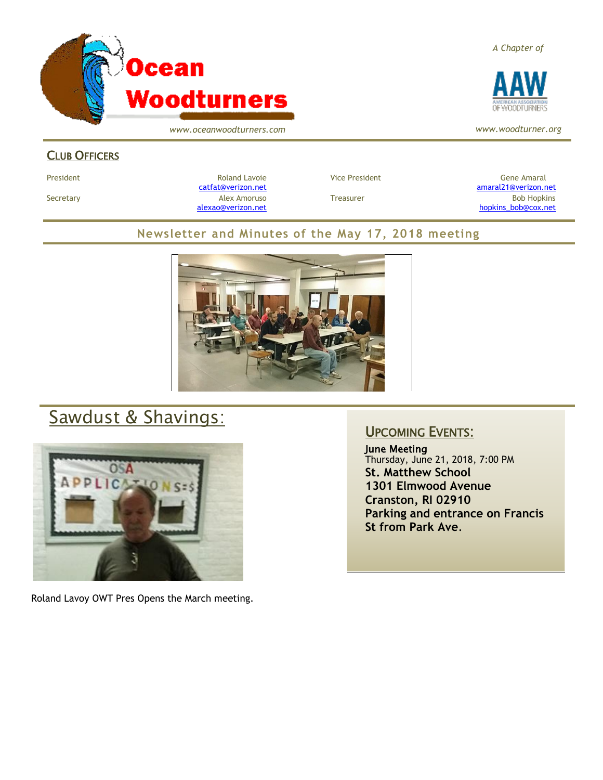

*www.oceanwoodturners.com*

### CLUB OFFICERS

[alexao@verizon.net](mailto:alexao@verizon.net) [hopkins\\_bob@cox.net](mailto:hopkins_bob@cox.net)

### **Newsletter and Minutes of the May 17, 2018 meeting**



# Sawdust & Shavings:



Roland Lavoy OWT Pres Opens the March meeting.

### UPCOMING EVENTS:

June Meeting Thursday, June 21, 2018, 7:00 PM **St. Matthew School 1301 Elmwood Avenue Cranston, RI 02910 Parking and entrance on Francis St from Park Ave**.

*A Chapter of*



*www.woodturner.org*

President Chronical Communication Chronical Roland Lavoie Chronic Vice President Chronic Chronic Gene Amaral [catfat@verizon.net](file:///C:/Users/OTEC/Desktop/OW/catfat@verizon.net) [amaral21@verizon.net](mailto:amaral21@verizon.net) Secretary Alex Amoruso Treasurer Bob Hopkins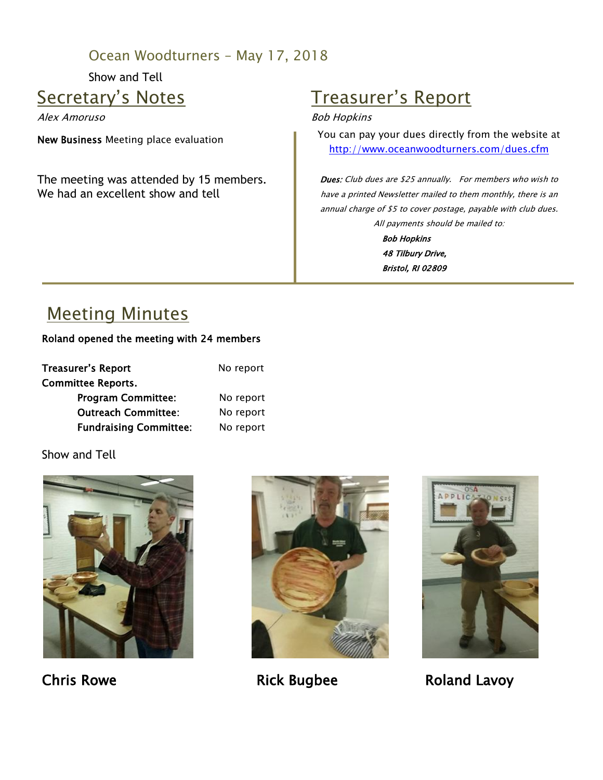## Ocean Woodturners – May 17, 2018

Show and Tell

## Secretary's Notes

Alex Amoruso

New Business Meeting place evaluation

The meeting was attended by 15 members. We had an excellent show and tell

# Treasurer's Report

#### Bob Hopkins

You can pay your dues directly from the website at <http://www.oceanwoodturners.com/dues.cfm>

**Dues:** Club dues are \$25 annually. For members who wish to have a printed Newsletter mailed to them monthly, there is an annual charge of \$5 to cover postage, payable with club dues. All payments should be mailed to:

Bob Hopkins 48 Tilbury Drive, Bristol, RI 02809

# Meeting Minutes

### Roland opened the meeting with 24 members

| Treasurer's Report            | No report |
|-------------------------------|-----------|
| Committee Reports.            |           |
| <b>Program Committee:</b>     | No report |
| <b>Outreach Committee:</b>    | No report |
| <b>Fundraising Committee:</b> | No report |

Show and Tell







Chris Rowe **Rick Bugbee** Roland Lavoy